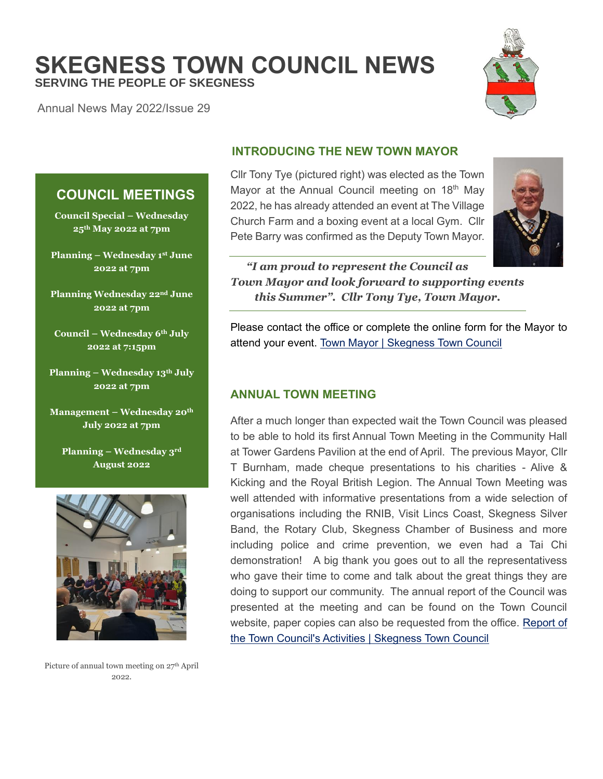**SKEGNESS TOWN COUNCIL NEWS SERVING THE PEOPLE OF SKEGNESS**

Annual News May 2022/Issue 29

**COUNCIL MEETINGS**

**Council Special – Wednesday 25th May 2022 at 7pm**

**Planning – Wednesday 1 st June 2022 at 7pm**

**Planning Wednesday 22nd June 2022 at 7pm**

**Council – Wednesday 6th July 2022 at 7:15pm**

**Planning – Wednesday 13th July 2022 at 7pm**

**Management – Wednesday 20th July 2022 at 7pm**



# **INTRODUCING THE NEW TOWN MAYOR**

Cllr Tony Tye (pictured right) was elected as the Town Mayor at the Annual Council meeting on 18<sup>th</sup> May 2022, he has already attended an event at The Village Church Farm and a boxing event at a local Gym. Cllr Pete Barry was confirmed as the Deputy Town Mayor.



*"I am proud to represent the Council as Town Mayor and look forward to supporting events this Summer". Cllr Tony Tye, Town Mayor.*

Please contact the office or complete the online form for the Mayor to attend your event. [Town Mayor | Skegness Town Council](https://www.skegness.gov.uk/town-mayor.html)

# **ANNUAL TOWN MEETING**

After a much longer than expected wait the Town Council was pleased to be able to hold its first Annual Town Meeting in the Community Hall at Tower Gardens Pavilion at the end of April. The previous Mayor, Cllr T Burnham, made cheque presentations to his charities - Alive & Kicking and the Royal British Legion. The Annual Town Meeting was well attended with informative presentations from a wide selection of organisations including the RNIB, Visit Lincs Coast, Skegness Silver Band, the Rotary Club, Skegness Chamber of Business and more including police and crime prevention, we even had a Tai Chi demonstration! A big thank you goes out to all the representativess who gave their time to come and talk about the great things they are doing to support our community. The annual report of the Council was presented at the meeting and can be found on the Town Council website, paper copies can also be requested from the office. [Report of](https://www.skegness.gov.uk/report-of-the-town-councils-acti.html)  [the Town Council's Activities | Skegness Town Council](https://www.skegness.gov.uk/report-of-the-town-councils-acti.html)



Picture of annual town meeting on 27<sup>th</sup> April 2022